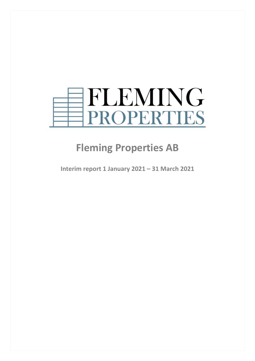

# **Fleming Properties AB**

**Interim report 1 January 2021 – 31 March 2021**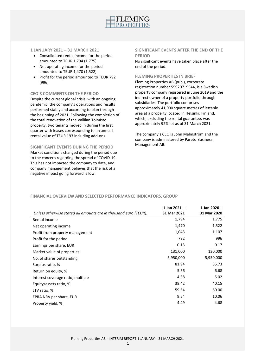

## **1 JANUARY 2021 – 31 MARCH 2021**

- Consolidated rental income for the period amounted to TEUR 1,794 (1,775)
- Net operating income for the period amounted to TEUR 1,470 (1,522)
- Profit for the period amounted to TEUR 792 (996)

## **CEO'S COMMENTS ON THE PERIOD**

Despite the current global crisis, with an ongoing pandemic, the company's operations and results performed stably and according to plan through the beginning of 2021. Following the completion of the total renovation of the Vallilan Toimisto property, two tenants moved in during the first quarter with leases corresponding to an annual rental value of TEUR 193 including add-ons.

## **SIGNIFICANT EVENTS DURING THE PERIOD**

Market conditions changed during the period due to the concern regarding the spread of COVID-19. This has not impacted the company to date, and company management believes that the risk of a negative impact going forward is low.

## **SIGNIFICANT EVENTS AFTER THE END OF THE PERIOD**

No significant events have taken place after the end of the period.

## **FLEMING PROPERTIES IN BRIEF**

Fleming Properties AB (publ), corporate registration number 559207–9544, is a Swedish property company registered in June 2019 and the indirect owner of a property portfolio through subsidiaries. The portfolio comprises approximately 41,000 square metres of lettable area at a property located in Helsinki, Finland, which, excluding the rental guarantee, was approximately 92% let as of 31 March 2021.

The company's CEO is John Malmström and the company is administered by Pareto Business Management AB.

## **FINANCIAL OVERVIEW AND SELECTED PERFORMANCE INDICATORS, GROUP**

| Unless otherwise stated all amounts are in thousand euro (TEUR). | 1 Jan $2021 -$<br>31 Mar 2021 | 1 Jan 2020 -<br>31 Mar 2020 |
|------------------------------------------------------------------|-------------------------------|-----------------------------|
| Rental income                                                    | 1,794                         | 1,775                       |
| Net operating income                                             | 1,470                         | 1,522                       |
| Profit from property management                                  | 1,043                         | 1,107                       |
| Profit for the period                                            | 792                           | 996                         |
| Earnings per share, EUR                                          | 0.13                          | 0.17                        |
| Market value of properties                                       | 131,000                       | 130,000                     |
| No. of shares outstanding                                        | 5,950,000                     | 5,950,000                   |
| Surplus ratio, %                                                 | 81.94                         | 85.73                       |
| Return on equity, %                                              | 5.56                          | 6.68                        |
| Interest coverage ratio, multiple                                | 4.38                          | 5.02                        |
| Equity/assets ratio, %                                           | 38.42                         | 40.15                       |
| LTV ratio, %                                                     | 59.54                         | 60.00                       |
| EPRA NRV per share, EUR                                          | 9.54                          | 10.06                       |
| Property yield, %                                                | 4.49                          | 4.68                        |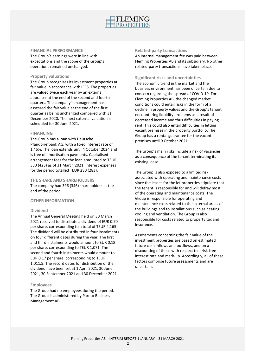

## **FINANCIAL PERFORMANCE**

The Group's earnings were in line with expectations and the scope of the Group's operations remained unchanged.

## **Property valuations**

The Group recognises its investment properties at fair value in accordance with IFRS. The properties are valued twice each year by an external appraiser at the end of the second and fourth quarters. The company's management has assessed the fair value at the end of the first quarter as being unchanged compared with 31 December 2020. The next external valuation is scheduled for 30 June 2021.

## **FINANCING**

The Group has a loan with Deutsche Pfandbriefbank AG, with a fixed interest rate of 1.45%. The loan extends until 4 October 2024 and is free of amortisation payments. Capitalised arrangement fees for the loan amounted to TEUR 330 (423) as of 31 March 2021. Interest expenses for the period totalled TEUR 280 (283).

## **THE SHARE AND SHAREHOLDERS**

The company had 396 (346) shareholders at the end of the period.

## **OTHER INFORMATION**

## **Dividend**

The Annual General Meeting held on 30 March 2021 resolved to distribute a dividend of EUR 0.70 per share, corresponding to a total of TEUR 4,165. The dividend will be distributed in four instalments on four different dates during the year. The first and third instalments would amount to EUR 0.18 per share, corresponding to TEUR 1,071. The second and fourth instalments would amount to EUR 0.17 per share, corresponding to TEUR 1,011.5. The record dates for distribution of the dividend have been set at 1 April 2021, 30 June 2021, 30 September 2021 and 30 December 2021.

## **Employees**

The Group had no employees during the period. The Group is administered by Pareto Business Management AB.

## **Related-party transactions**

An internal management fee was paid between Fleming Properties AB and its subsidiary. No other related-party transactions have taken place.

## **Significant risks and uncertainties**

The economic trend in the market and the business environment has been uncertain due to concern regarding the spread of COVID-19. For Fleming Properties AB, the changed market conditions could entail risks in the form of a decline in property values and the Group's tenant encountering liquidity problems as a result of decreased income and thus difficulties in paying rent. This could also entail difficulties in letting vacant premises in the property portfolio. The Group has a rental guarantee for the vacant premises until 9 October 2021.

The Group's main risks include a risk of vacancies as a consequence of the tenant terminating its existing lease.

The Group is also exposed to a limited risk associated with operating and maintenance costs since the leases for the let properties stipulate that the tenant is responsible for and will defray most of the operating and maintenance costs. The Group is responsible for operating and maintenance costs related to the external areas of the buildings and to installations such as heating, cooling and ventilation. The Group is also responsible for costs related to property tax and insurance.

Assessments concerning the fair value of the investment properties are based on estimated future cash inflows and outflows, and on a discounting of these with respect to a risk-free interest rate and mark-up. Accordingly, all of these factors comprise future assessments and are uncertain.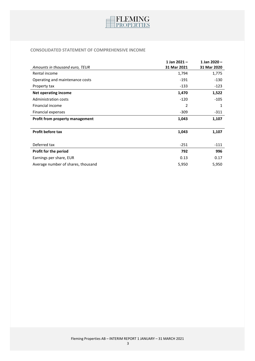

# **CONSOLIDATED STATEMENT OF COMPREHENSIVE INCOME**

|                                    | 1 Jan 2021- | 1 Jan 2020 - |
|------------------------------------|-------------|--------------|
| Amounts in thousand euro, TEUR     | 31 Mar 2021 | 31 Mar 2020  |
| Rental income                      | 1,794       | 1,775        |
| Operating and maintenance costs    | $-191$      | $-130$       |
| Property tax                       | $-133$      | $-123$       |
| <b>Net operating income</b>        | 1,470       | 1,522        |
| Administration costs               | $-120$      | $-105$       |
| Financial income                   | 2           | 1            |
| Financial expenses                 | $-309$      | $-311$       |
| Profit from property management    | 1,043       | 1,107        |
|                                    |             |              |
| <b>Profit before tax</b>           | 1,043       | 1,107        |
|                                    |             |              |
| Deferred tax                       | $-251$      | $-111$       |
| Profit for the period              | 792         | 996          |
| Earnings per share, EUR            | 0.13        | 0.17         |
| Average number of shares, thousand | 5,950       | 5,950        |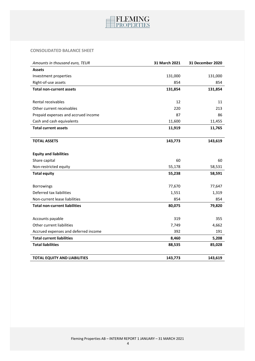

# **CONSOLIDATED BALANCE SHEET**

| Amounts in thousand euro, TEUR       | 31 March 2021 | 31 December 2020 |
|--------------------------------------|---------------|------------------|
| <b>Assets</b>                        |               |                  |
| Investment properties                | 131,000       | 131,000          |
| Right-of-use assets                  | 854           | 854              |
| <b>Total non-current assets</b>      | 131,854       | 131,854          |
|                                      |               |                  |
| Rental receivables                   | 12            | 11               |
| Other current receivables            | 220           | 213              |
| Prepaid expenses and accrued income  | 87            | 86               |
| Cash and cash equivalents            | 11,600        | 11,455           |
| <b>Total current assets</b>          | 11,919        | 11,765           |
|                                      |               |                  |
| <b>TOTAL ASSETS</b>                  | 143,773       | 143,619          |
|                                      |               |                  |
| <b>Equity and liabilities</b>        |               |                  |
| Share capital                        | 60            | 60               |
| Non-restricted equity                | 55,178        | 58,531           |
| <b>Total equity</b>                  | 55,238        | 58,591           |
|                                      |               |                  |
| Borrowings                           | 77,670        | 77,647           |
| Deferred tax liabilities             | 1,551         | 1,319            |
| Non-current lease liabilities        | 854           | 854              |
| <b>Total non-current liabilities</b> | 80,075        | 79,820           |
|                                      |               |                  |
| Accounts payable                     | 319           | 355              |
| Other current liabilities            | 7,749         | 4,662            |
| Accrued expenses and deferred income | 392           | 191              |
| <b>Total current liabilities</b>     | 8,460         | 5,208            |
| <b>Total liabilities</b>             | 88,535        | 85,028           |
|                                      |               |                  |
| <b>TOTAL EQUITY AND LIABILITIES</b>  | 143,773       | 143,619          |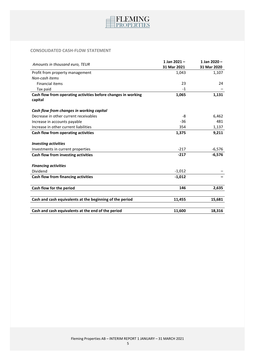

# **CONSOLIDATED CASH-FLOW STATEMENT**

|                                                               | 1 Jan $2021 -$ | 1 Jan 2020- |
|---------------------------------------------------------------|----------------|-------------|
| Amounts in thousand euro, TEUR                                | 31 Mar 2021    | 31 Mar 2020 |
| Profit from property management                               | 1,043          | 1,107       |
| Non-cash items                                                |                |             |
| <b>Financial items</b>                                        | 23             | 24          |
| Tax paid                                                      | $-1$           |             |
| Cash flow from operating activities before changes in working | 1,065          | 1,131       |
| capital                                                       |                |             |
| Cash flow from changes in working capital                     |                |             |
| Decrease in other current receivables                         | -8             | 6,462       |
| Increase in accounts payable                                  | $-36$          | 481         |
| Increase in other current liabilities                         | 354            | 1,137       |
| Cash flow from operating activities                           | 1,375          | 9,211       |
| <b>Investing activities</b>                                   |                |             |
| Investments in current properties                             | $-217$         | $-6,576$    |
| Cash flow from investing activities                           | $-217$         | $-6,576$    |
| <b>Financing activities</b>                                   |                |             |
| Dividend                                                      | $-1,012$       |             |
| Cash flow from financing activities                           | $-1,012$       |             |
| Cash flow for the period                                      | 146            | 2,635       |
|                                                               |                |             |
| Cash and cash equivalents at the beginning of the period      | 11,455         | 15,681      |
| Cash and cash equivalents at the end of the period            | 11,600         | 18,316      |
|                                                               |                |             |

5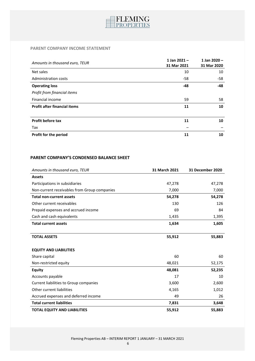

# **PARENT COMPANY INCOME STATEMENT**

| Amounts in thousand euro, TEUR      | 1 Jan $2021 -$<br>31 Mar 2021 | 1 Jan 2020 -<br>31 Mar 2020 |
|-------------------------------------|-------------------------------|-----------------------------|
| Net sales                           | 10                            | 10                          |
| <b>Administration costs</b>         | $-58$                         | $-58$                       |
| <b>Operating loss</b>               | -48                           | $-48$                       |
| Profit from financial items         |                               |                             |
| Financial income                    | 59                            | 58                          |
| <b>Profit after financial items</b> | 11                            | 10                          |
|                                     |                               |                             |
| Profit before tax                   | 11                            | 10                          |
| Tax                                 |                               |                             |
| Profit for the period               | 11                            | 10                          |

# **PARENT COMPANY'S CONDENSED BALANCE SHEET**

| Amounts in thousand euro, TEUR               | 31 March 2021 | 31 December 2020 |
|----------------------------------------------|---------------|------------------|
| <b>Assets</b>                                |               |                  |
| Participations in subsidiaries               | 47,278        | 47,278           |
| Non-current receivables from Group companies | 7,000         | 7,000            |
| <b>Total non-current assets</b>              | 54,278        | 54,278           |
| Other current receivables                    | 130           | 126              |
| Prepaid expenses and accrued income          | 69            | 84               |
| Cash and cash equivalents                    | 1,435         | 1,395            |
| <b>Total current assets</b>                  | 1,634         | 1,605            |
|                                              |               |                  |
| <b>TOTAL ASSETS</b>                          | 55,912        | 55,883           |
|                                              |               |                  |
| <b>EQUITY AND LIABILITIES</b>                |               |                  |
| Share capital                                | 60            | 60               |
| Non-restricted equity                        | 48,021        | 52,175           |
| <b>Equity</b>                                | 48,081        | 52,235           |
| Accounts payable                             | 17            | 10               |
| Current liabilities to Group companies       | 3,600         | 2,600            |
| Other current liabilities                    | 4,165         | 1,012            |
| Accrued expenses and deferred income         | 49            | 26               |
| <b>Total current liabilities</b>             | 7,831         | 3,648            |
| <b>TOTAL EQUITY AND LIABILITIES</b>          | 55,912        | 55,883           |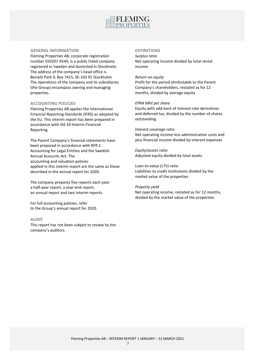

## **GENERAL INFORMATION**

Fleming Properties AB, corporate registration number 559207-9544, is a public listed company registered in Sweden and domiciled in Stockholm. The address of the company's head office is Berzelii Park 9, Box 7415, SE-103 91 Stockholm. The operations of the company and its subsidiaries (the Group) encompass owning and managing properties.

# **ACCOUNTING POLICIES**

Fleming Properties AB applies the International Financial Reporting Standards (IFRS) as adopted by the EU. This interim report has been prepared in accordance with IAS 34 Interim Financial Reporting.

The Parent Company's financial statements have been prepared in accordance with RFR 2 Accounting for Legal Entities and the Swedish Annual Accounts Act. The accounting and valuation policies applied in this interim report are the same as those described in the annual report for 2020.

The company prepares five reports each year: a half-year report, a year-end report, an annual report and two interim reports.

For full accounting policies, refer to the Group's annual report for 2020.

## **AUDIT**

This report has not been subject to review by the company's auditors.

# **DEFINITIONS**

*Surplus ratio* Net operating income divided by total rental income

#### *Return on equity*

Profit for the period attributable to the Parent Company's shareholders, restated as for 12 months, divided by average equity

#### *EPRA NRV per share*

Equity with add-back of interest-rate derivatives and deferred tax, divided by the number of shares outstanding

#### *Interest coverage ratio*

Net operating income less administration costs and plus financial income divided by interest expenses

*Equity/assets ratio* Adjusted equity divided by total assets

*Loan-to-value (LTV) ratio* Liabilities to credit institutions divided by the market value of the properties

#### *Property yield*

Net operating income, restated as for 12 months, divided by the market value of the properties.